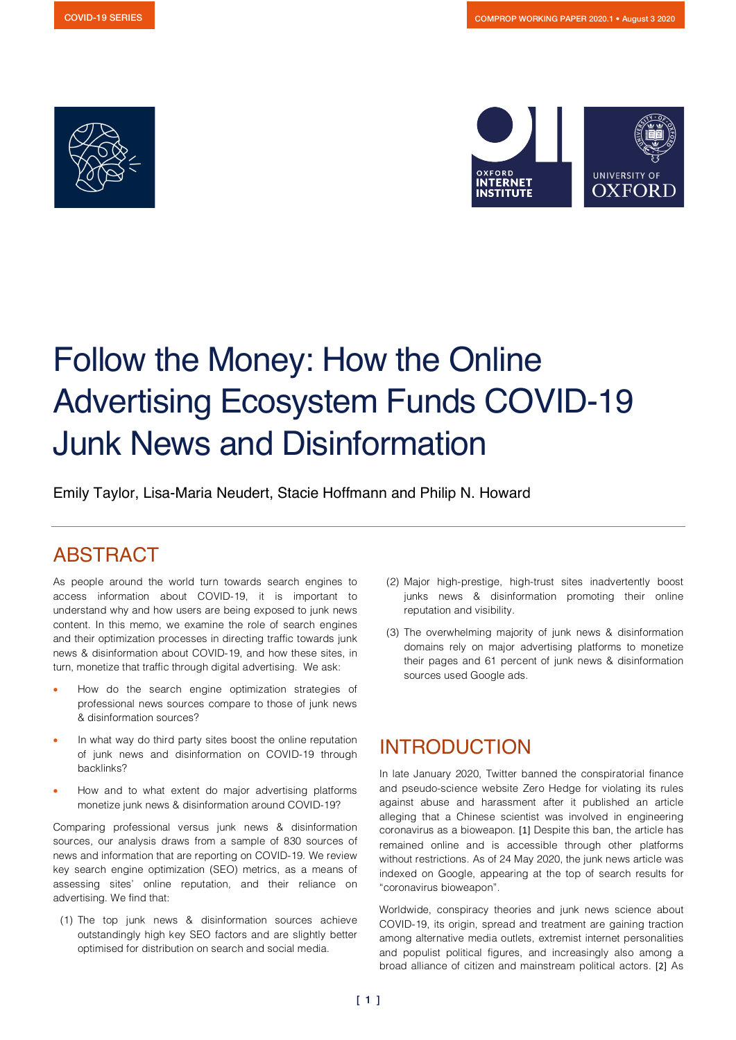



# Follow the Money: How the Online Advertising Ecosystem Funds COVID-19 Junk News and Disinformation

Emily Taylor, Lisa-Maria Neudert, Stacie Hoffmann and Philip N. Howard

## ABSTRACT

As people around the world turn towards search engines to access information about COVID-19, it is important to understand why and how users are being exposed to junk news content. In this memo, we examine the role of search engines and their optimization processes in directing traffic towards junk news & disinformation about COVID-19, and how these sites, in turn, monetize that traffic through digital advertising. We ask:

- How do the search engine optimization strategies of professional news sources compare to those of junk news & disinformation sources?
- In what way do third party sites boost the online reputation of junk news and disinformation on COVID-19 through backlinks?
- How and to what extent do major advertising platforms monetize junk news & disinformation around COVID-19?

Comparing professional versus junk news & disinformation sources, our analysis draws from a sample of 830 sources of news and information that are reporting on COVID-19. We review key search engine optimization (SEO) metrics, as a means of assessing sites' online reputation, and their reliance on advertising. We find that:

(1) The top junk news & disinformation sources achieve outstandingly high key SEO factors and are slightly better optimised for distribution on search and social media.

- (2) Major high-prestige, high-trust sites inadvertently boost junks news & disinformation promoting their online reputation and visibility.
- (3) The overwhelming majority of junk news & disinformation domains rely on major advertising platforms to monetize their pages and 61 percent of junk news & disinformation sources used Google ads.

## INTRODUCTION

In late January 2020, Twitter banned the conspiratorial finance and pseudo-science website Zero Hedge for violating its rules against abuse and harassment after it published an article alleging that a Chinese scientist was involved in engineering coronavirus as a bioweapon. [1] Despite this ban, the article has remained online and is accessible through other platforms without restrictions. As of 24 May 2020, the junk news article was indexed on Google, appearing at the top of search results for "coronavirus bioweapon".

Worldwide, conspiracy theories and junk news science about COVID-19, its origin, spread and treatment are gaining traction among alternative media outlets, extremist internet personalities and populist political figures, and increasingly also among a broad alliance of citizen and mainstream political actors. [2] As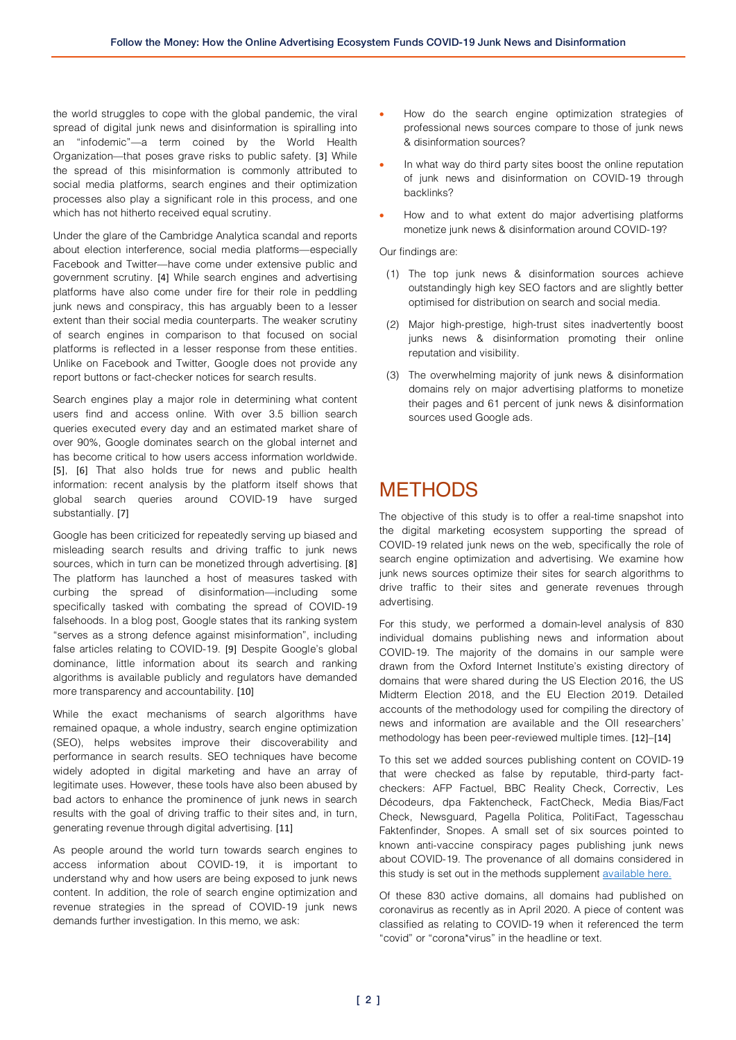the world struggles to cope with the global pandemic, the viral spread of digital junk news and disinformation is spiralling into an "infodemic"—a term coined by the World Health Organization—that poses grave risks to public safety. [3] While the spread of this misinformation is commonly attributed to social media platforms, search engines and their optimization processes also play a significant role in this process, and one which has not hitherto received equal scrutiny.

Under the glare of the Cambridge Analytica scandal and reports about election interference, social media platforms—especially Facebook and Twitter—have come under extensive public and government scrutiny. [4] While search engines and advertising platforms have also come under fire for their role in peddling junk news and conspiracy, this has arguably been to a lesser extent than their social media counterparts. The weaker scrutiny of search engines in comparison to that focused on social platforms is reflected in a lesser response from these entities. Unlike on Facebook and Twitter, Google does not provide any report buttons or fact-checker notices for search results.

Search engines play a major role in determining what content users find and access online. With over 3.5 billion search queries executed every day and an estimated market share of over 90%, Google dominates search on the global internet and has become critical to how users access information worldwide. [5], [6] That also holds true for news and public health information: recent analysis by the platform itself shows that global search queries around COVID-19 have surged substantially. [7]

Google has been criticized for repeatedly serving up biased and misleading search results and driving traffic to junk news sources, which in turn can be monetized through advertising. [8] The platform has launched a host of measures tasked with curbing the spread of disinformation—including some specifically tasked with combating the spread of COVID-19 falsehoods. In a blog post, Google states that its ranking system "serves as a strong defence against misinformation", including false articles relating to COVID-19. [9] Despite Google's global dominance, little information about its search and ranking algorithms is available publicly and regulators have demanded more transparency and accountability. [10]

While the exact mechanisms of search algorithms have remained opaque, a whole industry, search engine optimization (SEO), helps websites improve their discoverability and performance in search results. SEO techniques have become widely adopted in digital marketing and have an array of legitimate uses. However, these tools have also been abused by bad actors to enhance the prominence of junk news in search results with the goal of driving traffic to their sites and, in turn, generating revenue through digital advertising. [11]

As people around the world turn towards search engines to access information about COVID-19, it is important to understand why and how users are being exposed to junk news content. In addition, the role of search engine optimization and revenue strategies in the spread of COVID-19 junk news demands further investigation. In this memo, we ask:

- How do the search engine optimization strategies of professional news sources compare to those of junk news & disinformation sources?
- In what way do third party sites boost the online reputation of junk news and disinformation on COVID-19 through backlinks?
- How and to what extent do major advertising platforms monetize junk news & disinformation around COVID-19?

Our findings are:

- (1) The top junk news & disinformation sources achieve outstandingly high key SEO factors and are slightly better optimised for distribution on search and social media.
- (2) Major high-prestige, high-trust sites inadvertently boost junks news & disinformation promoting their online reputation and visibility.
- (3) The overwhelming majority of junk news & disinformation domains rely on major advertising platforms to monetize their pages and 61 percent of junk news & disinformation sources used Google ads.

### METHODS

The objective of this study is to offer a real-time snapshot into the digital marketing ecosystem supporting the spread of COVID-19 related junk news on the web, specifically the role of search engine optimization and advertising. We examine how junk news sources optimize their sites for search algorithms to drive traffic to their sites and generate revenues through advertising.

For this study, we performed a domain-level analysis of 830 individual domains publishing news and information about COVID-19. The majority of the domains in our sample were drawn from the Oxford Internet Institute's existing directory of domains that were shared during the US Election 2016, the US Midterm Election 2018, and the EU Election 2019. Detailed accounts of the methodology used for compiling the directory of news and information are available and the OII researchers' methodology has been peer-reviewed multiple times. [12]–[14]

To this set we added sources publishing content on COVID-19 that were checked as false by reputable, third-party factcheckers: AFP Factuel, BBC Reality Check, Correctiv, Les Décodeurs, dpa Faktencheck, FactCheck, Media Bias/Fact Check, Newsguard, Pagella Politica, PolitiFact, Tagesschau Faktenfinder, Snopes. A small set of six sources pointed to known anti-vaccine conspiracy pages publishing junk news about COVID-19. The provenance of all domains considered in this study is set out in the methods supplement [available here.](https://comprop.oii.ox.ac.uk/research/covid19-disinfo-seo/) 

Of these 830 active domains, all domains had published on coronavirus as recently as in April 2020. A piece of content was classified as relating to COVID-19 when it referenced the term "covid" or "corona\*virus" in the headline or text.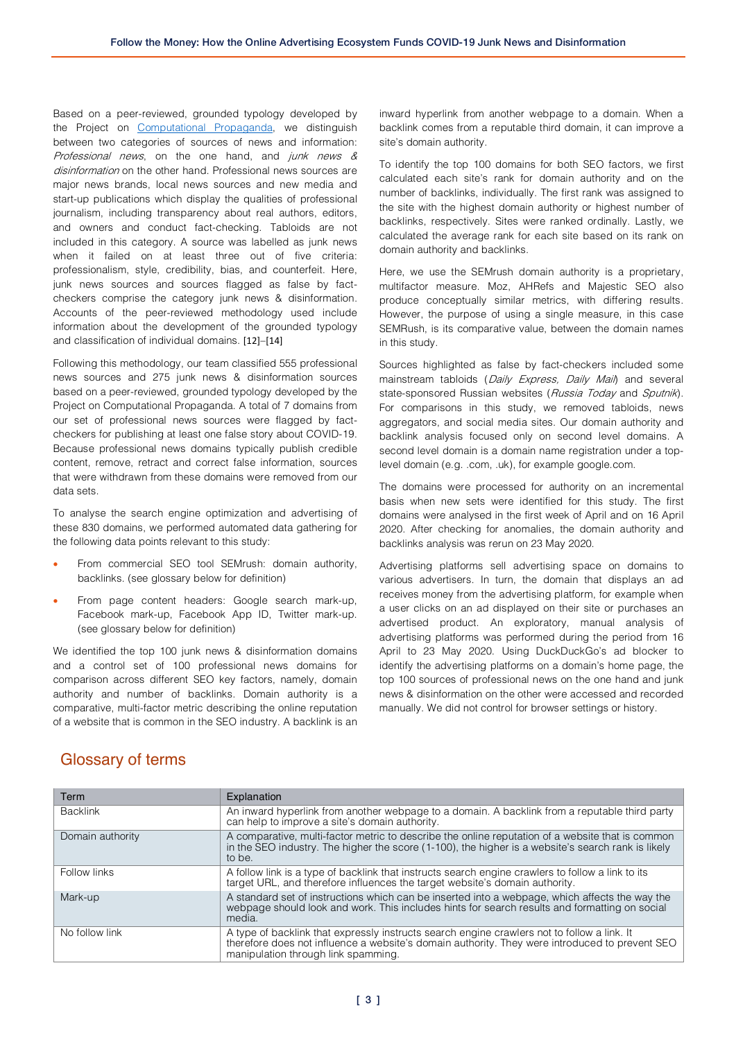Based on a peer-reviewed, grounded typology developed by the Project on [Computational Propaganda,](https://comprop.oii.ox.ac.uk/) we distinguish between two categories of sources of news and information: Professional news, on the one hand, and junk news & disinformation on the other hand. Professional news sources are major news brands, local news sources and new media and start-up publications which display the qualities of professional journalism, including transparency about real authors, editors, and owners and conduct fact-checking. Tabloids are not included in this category. A source was labelled as junk news when it failed on at least three out of five criteria: professionalism, style, credibility, bias, and counterfeit. Here, junk news sources and sources flagged as false by factcheckers comprise the category junk news & disinformation. Accounts of the peer-reviewed methodology used include information about the development of the grounded typology and classification of individual domains. [12]–[14]

Following this methodology, our team classified 555 professional news sources and 275 junk news & disinformation sources based on a peer-reviewed, grounded typology developed by the Project on Computational Propaganda. A total of 7 domains from our set of professional news sources were flagged by factcheckers for publishing at least one false story about COVID-19. Because professional news domains typically publish credible content, remove, retract and correct false information, sources that were withdrawn from these domains were removed from our data sets.

To analyse the search engine optimization and advertising of these 830 domains, we performed automated data gathering for the following data points relevant to this study:

- From commercial SEO tool SEMrush: domain authority, backlinks. (see glossary below for definition)
- From page content headers: Google search mark-up, Facebook mark-up, Facebook App ID, Twitter mark-up. (see glossary below for definition)

We identified the top 100 junk news & disinformation domains and a control set of 100 professional news domains for comparison across different SEO key factors, namely, domain authority and number of backlinks. Domain authority is a comparative, multi-factor metric describing the online reputation of a website that is common in the SEO industry. A backlink is an

inward hyperlink from another webpage to a domain. When a backlink comes from a reputable third domain, it can improve a site's domain authority.

To identify the top 100 domains for both SEO factors, we first calculated each site's rank for domain authority and on the number of backlinks, individually. The first rank was assigned to the site with the highest domain authority or highest number of backlinks, respectively. Sites were ranked ordinally. Lastly, we calculated the average rank for each site based on its rank on domain authority and backlinks.

Here, we use the SEMrush domain authority is a proprietary, multifactor measure. Moz, AHRefs and Majestic SEO also produce conceptually similar metrics, with differing results. However, the purpose of using a single measure, in this case SEMRush, is its comparative value, between the domain names in this study.

Sources highlighted as false by fact-checkers included some mainstream tabloids (Daily Express, Daily Mail) and several state-sponsored Russian websites (Russia Today and Sputnik). For comparisons in this study, we removed tabloids, news aggregators, and social media sites. Our domain authority and backlink analysis focused only on second level domains. A second level domain is a domain name registration under a toplevel domain (e.g. .com, .uk), for example google.com.

The domains were processed for authority on an incremental basis when new sets were identified for this study. The first domains were analysed in the first week of April and on 16 April 2020. After checking for anomalies, the domain authority and backlinks analysis was rerun on 23 May 2020.

Advertising platforms sell advertising space on domains to various advertisers. In turn, the domain that displays an ad receives money from the advertising platform, for example when a user clicks on an ad displayed on their site or purchases an advertised product. An exploratory, manual analysis of advertising platforms was performed during the period from 16 April to 23 May 2020. Using DuckDuckGo's ad blocker to identify the advertising platforms on a domain's home page, the top 100 sources of professional news on the one hand and junk news & disinformation on the other were accessed and recorded manually. We did not control for browser settings or history.

| Term             | Explanation                                                                                                                                                                                                                          |
|------------------|--------------------------------------------------------------------------------------------------------------------------------------------------------------------------------------------------------------------------------------|
| <b>Backlink</b>  | An inward hyperlink from another webpage to a domain. A backlink from a reputable third party<br>can help to improve a site's domain authority.                                                                                      |
| Domain authority | A comparative, multi-factor metric to describe the online reputation of a website that is common<br>in the SEO industry. The higher the score (1-100), the higher is a website's search rank is likely<br>to be.                     |
| Follow links     | A follow link is a type of backlink that instructs search engine crawlers to follow a link to its<br>target URL, and therefore influences the target website's domain authority.                                                     |
| Mark-up          | A standard set of instructions which can be inserted into a webpage, which affects the way the<br>webpage should look and work. This includes hints for search results and formatting on social<br>media.                            |
| No follow link   | A type of backlink that expressly instructs search engine crawlers not to follow a link. It<br>therefore does not influence a website's domain authority. They were introduced to prevent SEO<br>manipulation through link spamming. |
|                  |                                                                                                                                                                                                                                      |

### Glossary of terms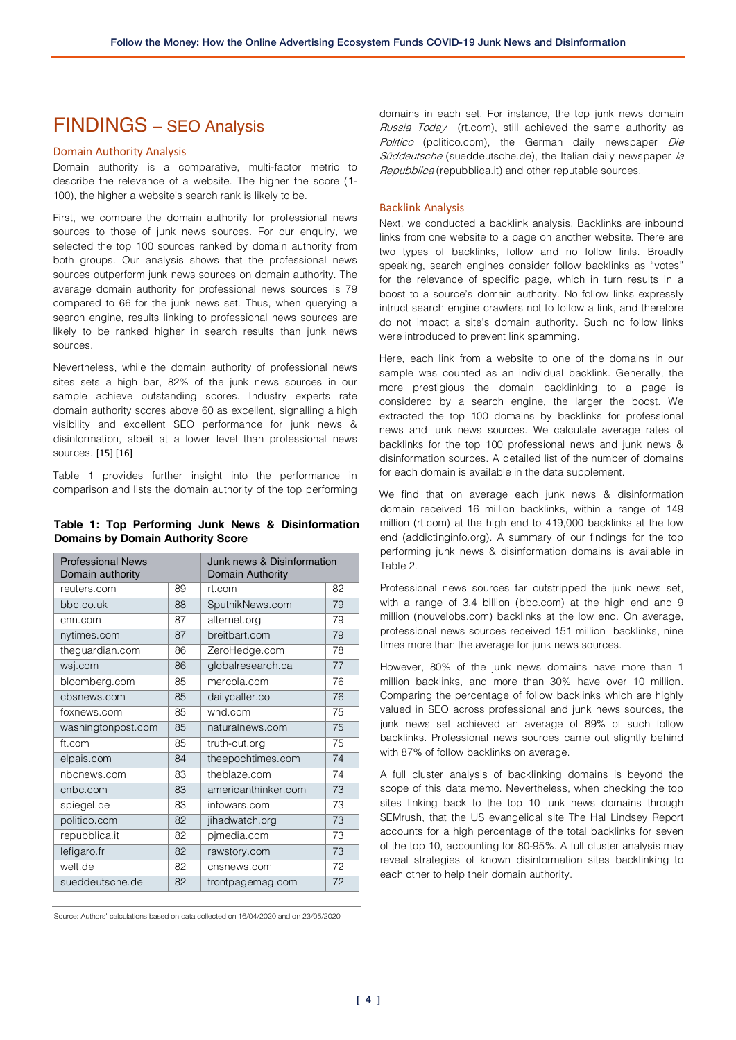### FINDINGS – SEO Analysis

#### Domain Authority Analysis

Domain authority is a comparative, multi-factor metric to describe the relevance of a website. The higher the score (1- 100), the higher a website's search rank is likely to be.

First, we compare the domain authority for professional news sources to those of junk news sources. For our enquiry, we selected the top 100 sources ranked by domain authority from both groups. Our analysis shows that the professional news sources outperform junk news sources on domain authority. The average domain authority for professional news sources is 79 compared to 66 for the junk news set. Thus, when querying a search engine, results linking to professional news sources are likely to be ranked higher in search results than junk news sources.

Nevertheless, while the domain authority of professional news sites sets a high bar, 82% of the junk news sources in our sample achieve outstanding scores. Industry experts rate domain authority scores above 60 as excellent, signalling a high visibility and excellent SEO performance for junk news & disinformation, albeit at a lower level than professional news sources. [15] [16]

Table 1 provides further insight into the performance in comparison and lists the domain authority of the top performing

#### **Table 1: Top Performing Junk News & Disinformation Domains by Domain Authority Score**

| <b>Professional News</b><br>Domain authority |    | Junk news & Disinformation<br>Domain Authority |    |  |
|----------------------------------------------|----|------------------------------------------------|----|--|
| reuters.com                                  | 89 | rt.com                                         | 82 |  |
| bbc.co.uk                                    | 88 | SputnikNews.com                                | 79 |  |
| cnn.com                                      | 87 | alternet.org                                   | 79 |  |
| nytimes.com                                  | 87 | breitbart.com                                  | 79 |  |
| theguardian.com                              | 86 | ZeroHedge.com                                  | 78 |  |
| wsj.com                                      | 86 | globalresearch.ca                              | 77 |  |
| bloomberg.com                                | 85 | mercola.com                                    | 76 |  |
| cbsnews.com                                  | 85 | dailycaller.co                                 | 76 |  |
| foxnews.com                                  | 85 | wnd.com                                        | 75 |  |
| washingtonpost.com                           | 85 | naturalnews.com                                | 75 |  |
| ft.com                                       | 85 | truth-out.org                                  | 75 |  |
| elpais.com                                   | 84 | theepochtimes.com                              | 74 |  |
| nbcnews.com                                  | 83 | theblaze.com                                   | 74 |  |
| cnbc.com                                     | 83 | americanthinker.com                            | 73 |  |
| spiegel.de                                   | 83 | infowars.com                                   | 73 |  |
| politico.com                                 | 82 | jihadwatch.org                                 | 73 |  |
| repubblica.it                                | 82 | pjmedia.com                                    | 73 |  |
| lefigaro.fr                                  | 82 | rawstory.com                                   | 73 |  |
| welt.de                                      | 82 | cnsnews.com                                    | 72 |  |
| sueddeutsche.de                              | 82 | frontpagemag.com                               | 72 |  |

Source: Authors' calculations based on data collected on 16/04/2020 and on 23/05/2020

domains in each set. For instance, the top junk news domain Russia Today (rt.com), still achieved the same authority as Politico (politico.com), the German daily newspaper Die Süddeutsche (sueddeutsche.de), the Italian daily newspaper la Repubblica (repubblica.it) and other reputable sources.

#### Backlink Analysis

Next, we conducted a backlink analysis. Backlinks are inbound links from one website to a page on another website. There are two types of backlinks, follow and no follow linls. Broadly speaking, search engines consider follow backlinks as "votes" for the relevance of specific page, which in turn results in a boost to a source's domain authority. No follow links expressly intruct search engine crawlers not to follow a link, and therefore do not impact a site's domain authority. Such no follow links were introduced to prevent link spamming.

Here, each link from a website to one of the domains in our sample was counted as an individual backlink. Generally, the more prestigious the domain backlinking to a page is considered by a search engine, the larger the boost. We extracted the top 100 domains by backlinks for professional news and junk news sources. We calculate average rates of backlinks for the top 100 professional news and junk news & disinformation sources. A detailed list of the number of domains for each domain is available in the data supplement.

We find that on average each junk news & disinformation domain received 16 million backlinks, within a range of 149 million (rt.com) at the high end to 419,000 backlinks at the low end (addictinginfo.org). A summary of our findings for the top performing junk news & disinformation domains is available in Table 2.

Professional news sources far outstripped the junk news set, with a range of 3.4 billion (bbc.com) at the high end and 9 million (nouvelobs.com) backlinks at the low end. On average, professional news sources received 151 million backlinks, nine times more than the average for junk news sources.

However, 80% of the junk news domains have more than 1 million backlinks, and more than 30% have over 10 million. Comparing the percentage of follow backlinks which are highly valued in SEO across professional and junk news sources, the junk news set achieved an average of 89% of such follow backlinks. Professional news sources came out slightly behind with 87% of follow backlinks on average.

A full cluster analysis of backlinking domains is beyond the scope of this data memo. Nevertheless, when checking the top sites linking back to the top 10 junk news domains through SEMrush, that the US evangelical site The Hal Lindsey Report accounts for a high percentage of the total backlinks for seven of the top 10, accounting for 80-95%. A full cluster analysis may reveal strategies of known disinformation sites backlinking to each other to help their domain authority.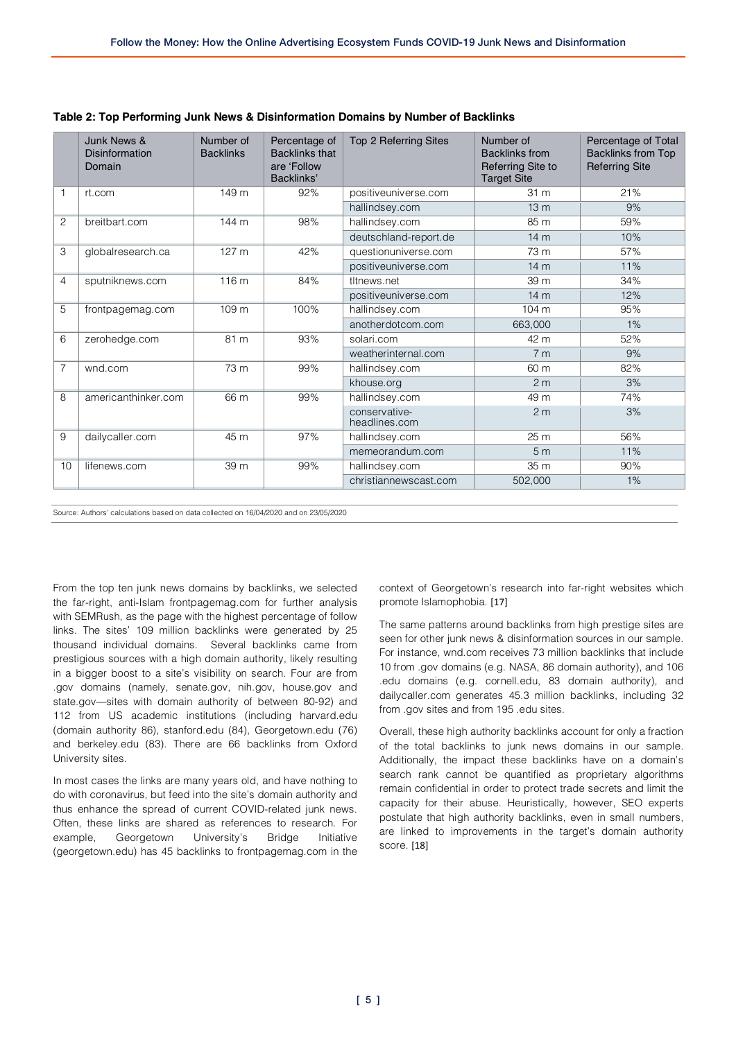|                | Junk News &<br>Disinformation<br>Domain | Number of<br><b>Backlinks</b> | Percentage of<br><b>Backlinks that</b><br>are 'Follow<br>Backlinks' | Top 2 Referring Sites          | Number of<br><b>Backlinks from</b><br>Referring Site to<br><b>Target Site</b> | Percentage of Total<br><b>Backlinks from Top</b><br><b>Referring Site</b> |
|----------------|-----------------------------------------|-------------------------------|---------------------------------------------------------------------|--------------------------------|-------------------------------------------------------------------------------|---------------------------------------------------------------------------|
|                | rt.com                                  | 149 m                         | 92%                                                                 | positiveuniverse.com           | 31 <sub>m</sub>                                                               | 21%                                                                       |
|                |                                         |                               |                                                                     | hallindsey.com                 | 13 <sub>m</sub>                                                               | 9%                                                                        |
| $\overline{c}$ | breitbart.com                           | 144 m                         | 98%                                                                 | hallindsey.com                 | 85 m                                                                          | 59%                                                                       |
|                |                                         |                               |                                                                     | deutschland-report.de          | 14 <sub>m</sub>                                                               | 10%                                                                       |
| 3              | globalresearch.ca                       | 127 m                         | 42%                                                                 | questionuniverse.com           | 73 m                                                                          | 57%                                                                       |
|                |                                         |                               |                                                                     | positiveuniverse.com           | 14 <sub>m</sub>                                                               | 11%                                                                       |
| 4              | sputniknews.com                         | 116 m                         | 84%                                                                 | tltnews.net                    | 39 m                                                                          | 34%                                                                       |
|                |                                         |                               |                                                                     | positiveuniverse.com           | 14 <sub>m</sub>                                                               | 12%                                                                       |
| 5              | frontpagemag.com                        | 109 m                         | 100%                                                                | hallindsey.com                 | 104 m                                                                         | 95%                                                                       |
|                |                                         |                               |                                                                     | anotherdotcom.com              | 663,000                                                                       | 1%                                                                        |
| 6              | zerohedge.com                           | 81 m                          | 93%                                                                 | solari.com                     | 42 m                                                                          | 52%                                                                       |
|                |                                         |                               |                                                                     | weatherinternal.com            | 7 <sub>m</sub>                                                                | 9%                                                                        |
| $\overline{7}$ | wnd.com                                 | 73 m                          | 99%                                                                 | hallindsey.com                 | 60 m                                                                          | 82%                                                                       |
|                |                                         |                               |                                                                     | khouse.org                     | 2 <sub>m</sub>                                                                | 3%                                                                        |
| 8              | americanthinker.com                     | 66 m                          | 99%                                                                 | hallindsey.com                 | 49 m                                                                          | 74%                                                                       |
|                |                                         |                               |                                                                     | conservative-<br>headlines.com | 2 <sub>m</sub>                                                                | 3%                                                                        |
| 9              | dailycaller.com                         | 45 m                          | 97%                                                                 | hallindsey.com                 | 25 m                                                                          | 56%                                                                       |
|                |                                         |                               |                                                                     | memeorandum.com                | 5 <sub>m</sub>                                                                | 11%                                                                       |
| 10             | lifenews.com                            | 39 m                          | 99%                                                                 | hallindsey.com                 | 35 m                                                                          | 90%                                                                       |
|                |                                         |                               |                                                                     | christiannewscast.com          | 502,000                                                                       | 1%                                                                        |

**Table 2: Top Performing Junk News & Disinformation Domains by Number of Backlinks**

Source: Authors' calculations based on data collected on 16/04/2020 and on 23/05/2020

From the top ten junk news domains by backlinks, we selected the far-right, anti-Islam frontpagemag.com for further analysis with SEMRush, as the page with the highest percentage of follow links. The sites' 109 million backlinks were generated by 25 thousand individual domains. Several backlinks came from prestigious sources with a high domain authority, likely resulting in a bigger boost to a site's visibility on search. Four are from .gov domains (namely, senate.gov, nih.gov, house.gov and state.gov—sites with domain authority of between 80-92) and 112 from US academic institutions (including harvard.edu (domain authority 86), stanford.edu (84), Georgetown.edu (76) and berkeley.edu (83). There are 66 backlinks from Oxford University sites.

In most cases the links are many years old, and have nothing to do with coronavirus, but feed into the site's domain authority and thus enhance the spread of current COVID-related junk news. Often, these links are shared as references to research. For example, Georgetown University's Bridge Initiative (georgetown.edu) has 45 backlinks to frontpagemag.com in the

context of Georgetown's research into far-right websites which promote Islamophobia. [17]

The same patterns around backlinks from high prestige sites are seen for other junk news & disinformation sources in our sample. For instance, wnd.com receives 73 million backlinks that include 10 from .gov domains (e.g. NASA, 86 domain authority), and 106 .edu domains (e.g. cornell.edu, 83 domain authority), and dailycaller.com generates 45.3 million backlinks, including 32 from .gov sites and from 195 .edu sites.

Overall, these high authority backlinks account for only a fraction of the total backlinks to junk news domains in our sample. Additionally, the impact these backlinks have on a domain's search rank cannot be quantified as proprietary algorithms remain confidential in order to protect trade secrets and limit the capacity for their abuse. Heuristically, however, SEO experts postulate that high authority backlinks, even in small numbers, are linked to improvements in the target's domain authority score. [18]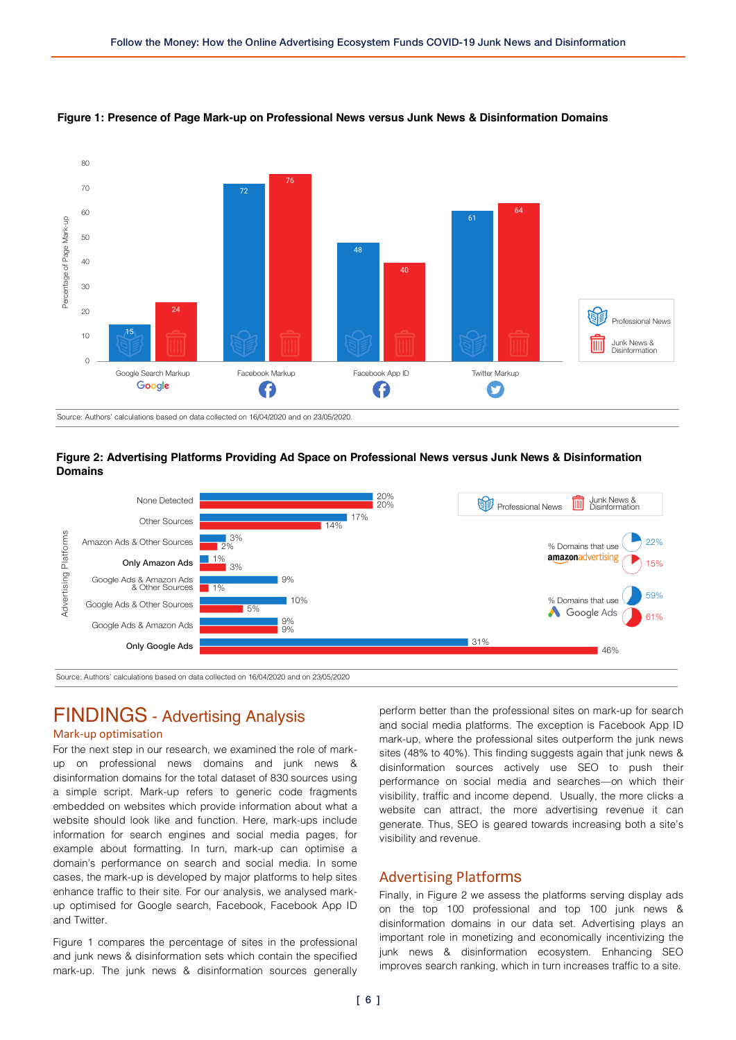

#### **Figure 1: Presence of Page Mark-up on Professional News versus Junk News & Disinformation Domains**





Source: Authors' calculations based on data collected on 16/04/2020 and on 23/05/2020

# FINDINGS - Advertising Analysis

#### Mark-up optimisation

For the next step in our research, we examined the role of markup on professional news domains and junk news & disinformation domains for the total dataset of 830 sources using a simple script. Mark-up refers to generic code fragments embedded on websites which provide information about what a website should look like and function. Here, mark-ups include information for search engines and social media pages, for example about formatting. In turn, mark-up can optimise a domain's performance on search and social media. In some cases, the mark-up is developed by major platforms to help sites enhance traffic to their site. For our analysis, we analysed markup optimised for Google search, Facebook, Facebook App ID and Twitter.

Figure 1 compares the percentage of sites in the professional and junk news & disinformation sets which contain the specified mark-up. The junk news & disinformation sources generally perform better than the professional sites on mark-up for search and social media platforms. The exception is Facebook App ID mark-up, where the professional sites outperform the junk news sites (48% to 40%). This finding suggests again that junk news & disinformation sources actively use SEO to push their performance on social media and searches—on which their visibility, traffic and income depend. Usually, the more clicks a website can attract, the more advertising revenue it can generate. Thus, SEO is geared towards increasing both a site's visibility and revenue.

#### Advertising Platforms

Finally, in Figure 2 we assess the platforms serving display ads on the top 100 professional and top 100 junk news & disinformation domains in our data set. Advertising plays an important role in monetizing and economically incentivizing the junk news & disinformation ecosystem. Enhancing SEO improves search ranking, which in turn increases traffic to a site.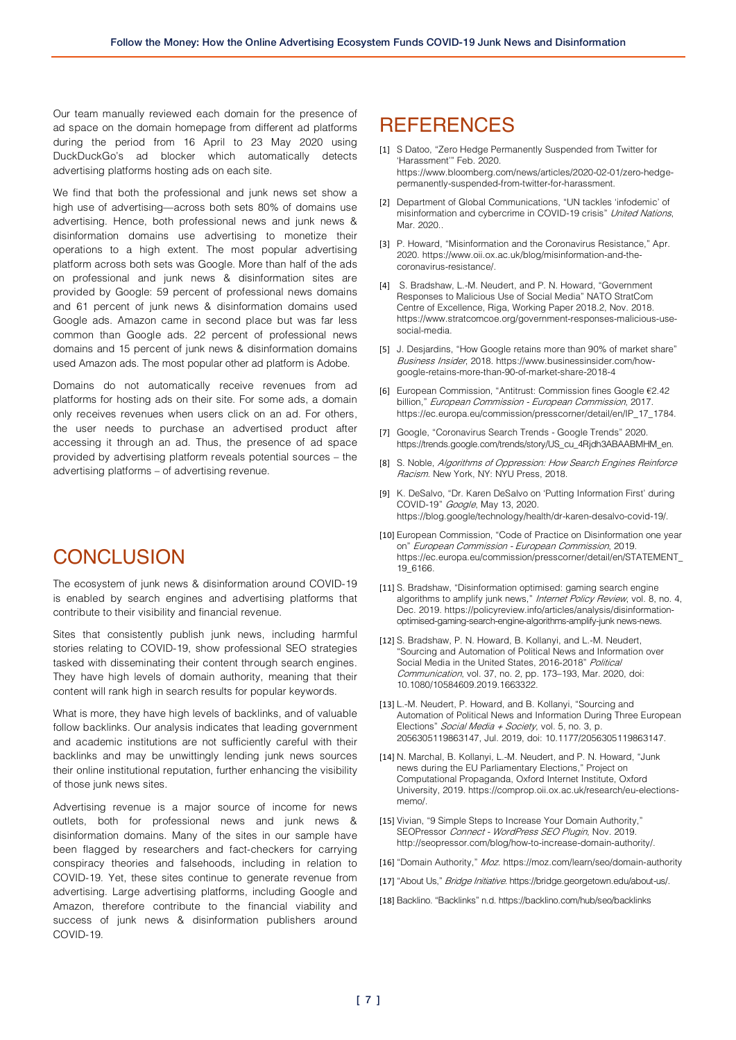Our team manually reviewed each domain for the presence of ad space on the domain homepage from different ad platforms during the period from 16 April to 23 May 2020 using DuckDuckGo's ad blocker which automatically detects advertising platforms hosting ads on each site.

We find that both the professional and junk news set show a high use of advertising—across both sets 80% of domains use advertising. Hence, both professional news and junk news & disinformation domains use advertising to monetize their operations to a high extent. The most popular advertising platform across both sets was Google. More than half of the ads on professional and junk news & disinformation sites are provided by Google: 59 percent of professional news domains and 61 percent of junk news & disinformation domains used Google ads. Amazon came in second place but was far less common than Google ads. 22 percent of professional news domains and 15 percent of junk news & disinformation domains used Amazon ads. The most popular other ad platform is Adobe.

Domains do not automatically receive revenues from ad platforms for hosting ads on their site. For some ads, a domain only receives revenues when users click on an ad. For others, the user needs to purchase an advertised product after accessing it through an ad. Thus, the presence of ad space provided by advertising platform reveals potential sources – the advertising platforms – of advertising revenue.

## **CONCLUSION**

The ecosystem of junk news & disinformation around COVID-19 is enabled by search engines and advertising platforms that contribute to their visibility and financial revenue.

Sites that consistently publish junk news, including harmful stories relating to COVID-19, show professional SEO strategies tasked with disseminating their content through search engines. They have high levels of domain authority, meaning that their content will rank high in search results for popular keywords.

What is more, they have high levels of backlinks, and of valuable follow backlinks. Our analysis indicates that leading government and academic institutions are not sufficiently careful with their backlinks and may be unwittingly lending junk news sources their online institutional reputation, further enhancing the visibility of those junk news sites.

Advertising revenue is a major source of income for news outlets, both for professional news and junk news & disinformation domains. Many of the sites in our sample have been flagged by researchers and fact-checkers for carrying conspiracy theories and falsehoods, including in relation to COVID-19. Yet, these sites continue to generate revenue from advertising. Large advertising platforms, including Google and Amazon, therefore contribute to the financial viability and success of junk news & disinformation publishers around COVID-19.

### **REFERENCES**

- [1] S Datoo, "Zero Hedge Permanently Suspended from Twitter for 'Harassment'" Feb. 2020. https://www.bloomberg.com/news/articles/2020-02-01/zero-hedgepermanently-suspended-from-twitter-for-harassment.
- [2] Department of Global Communications, "UN tackles 'infodemic' of misinformation and cybercrime in COVID-19 crisis" United Nations, Mar. 2020..
- [3] P. Howard, "Misinformation and the Coronavirus Resistance," Apr. 2020. https://www.oii.ox.ac.uk/blog/misinformation-and-thecoronavirus-resistance/.
- [4] S. Bradshaw, L.-M. Neudert, and P. N. Howard, "Government Responses to Malicious Use of Social Media" NATO StratCom Centre of Excellence, Riga, Working Paper 2018.2, Nov. 2018. https://www.stratcomcoe.org/government-responses-malicious-usesocial-media.
- [5] J. Desjardins, "How Google retains more than 90% of market share" Business Insider, 2018. https://www.businessinsider.com/howgoogle-retains-more-than-90-of-market-share-2018-4
- [6] European Commission, "Antitrust: Commission fines Google €2.42 billion," European Commission - European Commission, 2017. https://ec.europa.eu/commission/presscorner/detail/en/IP\_17\_1784.
- [7] Google, "Coronavirus Search Trends Google Trends" 2020. https://trends.google.com/trends/story/US\_cu\_4Rjdh3ABAABMHM\_en.
- [8] S. Noble, Algorithms of Oppression: How Search Engines Reinforce Racism. New York, NY: NYU Press, 2018.
- [9] K. DeSalvo, "Dr. Karen DeSalvo on 'Putting Information First' during COVID-19" Google, May 13, 2020. https://blog.google/technology/health/dr-karen-desalvo-covid-19/.
- [10] European Commission, "Code of Practice on Disinformation one year on" European Commission - European Commission, 2019. https://ec.europa.eu/commission/presscorner/detail/en/STATEMENT\_ 19\_6166.
- [11] S. Bradshaw, "Disinformation optimised: gaming search engine algorithms to amplify junk news," Internet Policy Review, vol. 8, no. 4, Dec. 2019. https://policyreview.info/articles/analysis/disinformationoptimised-gaming-search-engine-algorithms-amplify-junk news-news.
- [12] S. Bradshaw, P. N. Howard, B. Kollanyi, and L.-M. Neudert, "Sourcing and Automation of Political News and Information over Social Media in the United States, 2016-2018" Political Communication, vol. 37, no. 2, pp. 173–193, Mar. 2020, doi: 10.1080/10584609.2019.1663322.
- [13] L.-M. Neudert, P. Howard, and B. Kollanyi, "Sourcing and Automation of Political News and Information During Three European Elections" Social Media + Society, vol. 5, no. 3, p. 2056305119863147, Jul. 2019, doi: 10.1177/2056305119863147.
- [14] N. Marchal, B. Kollanyi, L.-M. Neudert, and P. N. Howard, "Junk news during the EU Parliamentary Elections," Project on Computational Propaganda, Oxford Internet Institute, Oxford University, 2019. https://comprop.oii.ox.ac.uk/research/eu-electionsmemo/.
- [15] Vivian, "9 Simple Steps to Increase Your Domain Authority," SEOPressor Connect - WordPress SEO Plugin, Nov. 2019. http://seopressor.com/blog/how-to-increase-domain-authority/.
- [16] "Domain Authority," Moz. https://moz.com/learn/seo/domain-authority
- [17] "About Us," Bridge Initiative. https://bridge.georgetown.edu/about-us/.
- [18] Backlino. "Backlinks" n.d. https://backlino.com/hub/seo/backlinks